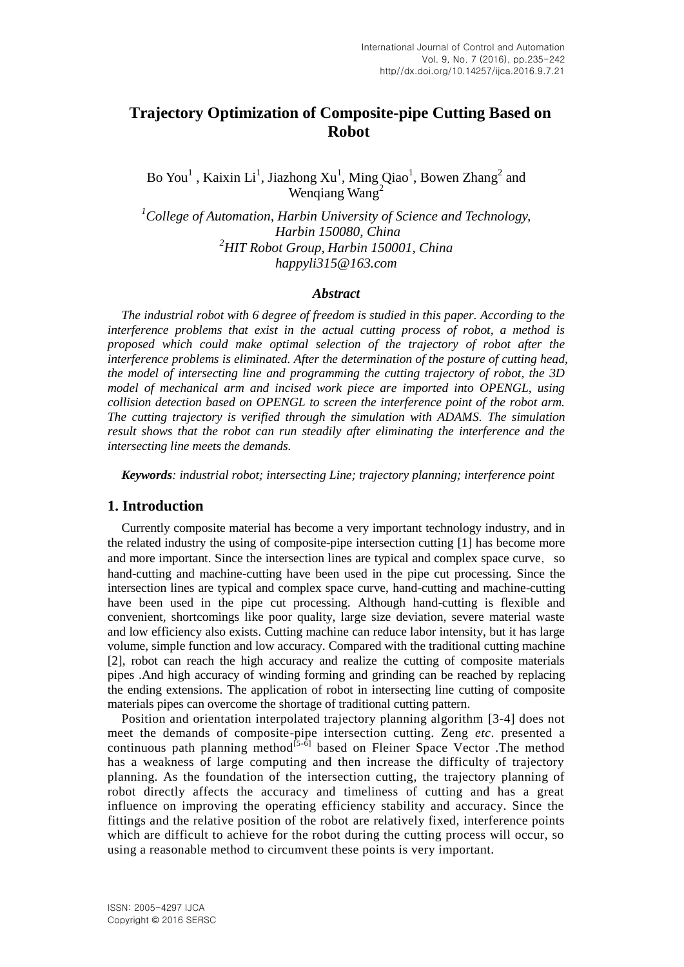# **Trajectory Optimization of Composite-pipe Cutting Based on Robot**

Bo You<sup>1</sup>, Kaixin Li<sup>1</sup>, Jiazhong Xu<sup>1</sup>, Ming Qiao<sup>1</sup>, Bowen Zhang<sup>2</sup> and Wenqiang Wang<sup>2</sup>

*<sup>1</sup>College of Automation, Harbin University of Science and Technology, Harbin 150080, China <sup>2</sup>HIT Robot Group, Harbin 150001, China happyli315@163.com*

#### *Abstract*

*The industrial robot with 6 degree of freedom is studied in this paper. According to the interference problems that exist in the actual cutting process of robot, a method is proposed which could make optimal selection of the trajectory of robot after the interference problems is eliminated. After the determination of the posture of cutting head, the model of intersecting line and programming the cutting trajectory of robot, the 3D model of mechanical arm and incised work piece are imported into OPENGL, using collision detection based on OPENGL to screen the interference point of the robot arm. The cutting trajectory is verified through the simulation with ADAMS. The simulation result shows that the robot can run steadily after eliminating the interference and the intersecting line meets the demands.*

*Keywords: industrial robot; intersecting Line; trajectory planning; interference point*

### **1. Introduction**

Currently composite material has become a very important technology industry, and in the related industry the using of composite-pipe intersection cutting [1] has become more and more important. Since the intersection lines are typical and complex space curve, so hand-cutting and machine-cutting have been used in the pipe cut processing. Since the intersection lines are typical and complex space curve, hand-cutting and machine-cutting have been used in the pipe cut processing. Although hand-cutting is flexible and convenient, shortcomings like poor quality, large size deviation, severe material waste and low efficiency also exists. Cutting machine can reduce labor intensity, but it has large volume, simple function and low accuracy. Compared with the traditional cutting machine [2], robot can reach the high accuracy and realize the cutting of composite materials pipes .And high accuracy of winding forming and grinding can be reached by replacing the ending extensions. The application of robot in intersecting line cutting of composite materials pipes can overcome the shortage of traditional cutting pattern.

Position and orientation interpolated trajectory planning algorithm [3-4] does not meet the demands of composite-pipe intersection cutting. Zeng *etc*. presented a continuous path planning method<sup> $[5-6]$ </sup> based on Fleiner Space Vector . The method has a weakness of large computing and then increase the difficulty of trajectory planning. As the foundation of the intersection cutting, the trajectory planning of robot directly affects the accuracy and timeliness of cutting and has a great influence on improving the operating efficiency stability and accuracy. Since the fittings and the relative position of the robot are relatively fixed, interference points which are difficult to achieve for the robot during the cutting process will occur, so using a reasonable method to circumvent these points is very important.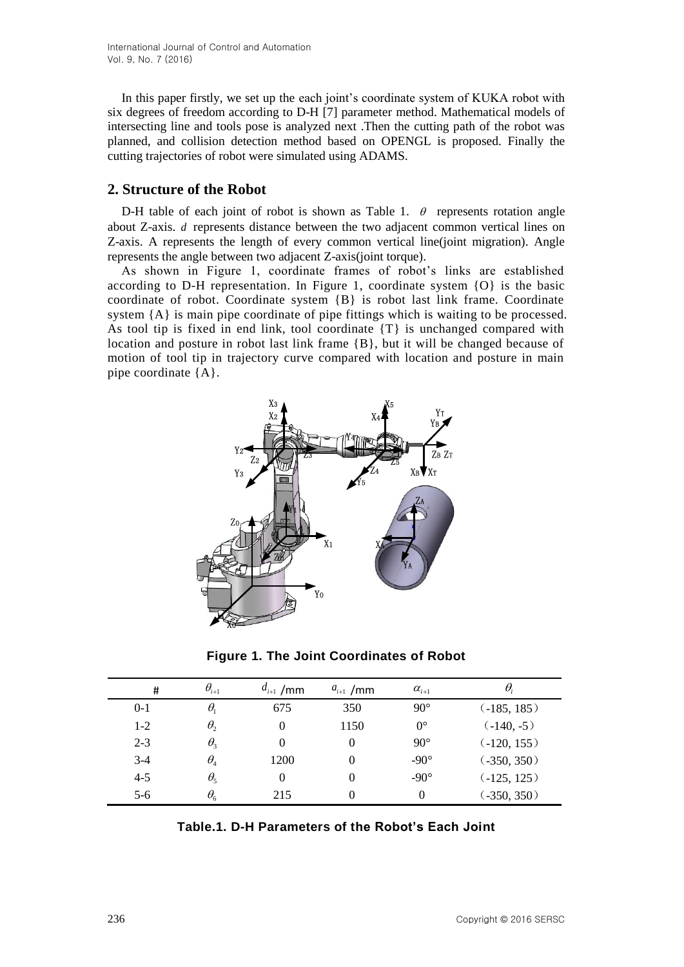In this paper firstly, we set up the each joint's coordinate system of KUKA robot with six degrees of freedom according to D-H [7] parameter method. Mathematical models of intersecting line and tools pose is analyzed next .Then the cutting path of the robot was planned, and collision detection method based on OPENGL is proposed. Finally the cutting trajectories of robot were simulated using ADAMS.

# **2. Structure of the Robot**

D-H table of each joint of robot is shown as Table 1.  $\theta$  represents rotation angle about Z-axis. *d* represents distance between the two adjacent common vertical lines on Z-axis. A represents the length of every common vertical line(joint migration). Angle represents the angle between two adjacent Z-axis(joint torque).

As shown in Figure 1, coordinate frames of robot's links are established according to D-H representation. In Figure 1, coordinate system {O} is the basic coordinate of robot. Coordinate system {B} is robot last link frame. Coordinate system {A} is main pipe coordinate of pipe fittings which is waiting to be processed. As tool tip is fixed in end link, tool coordinate {T} is unchanged compared with location and posture in robot last link frame {B}, but it will be changed because of motion of tool tip in trajectory curve compared with location and posture in main pipe coordinate {A}.



**Figure 1. The Joint Coordinates of Robot**

| #       | $\theta_{i+1}$        | $d_{i+1}$<br>/mm | $a_{i+1}$ /mm | $\alpha_{i+1}$ | $\theta$     |
|---------|-----------------------|------------------|---------------|----------------|--------------|
| $0-1$   | $\theta_1$            | 675              | 350           | $90^{\circ}$   | (.185, 185)  |
| $1 - 2$ | $\theta$              | $\theta$         | 1150          | $0^{\circ}$    | $(-140, -5)$ |
| $2 - 3$ | $\theta_3$            | $\theta$         |               | $90^{\circ}$   | (.120, 155)  |
| $3-4$   | $\theta$ <sub>4</sub> | 1200             |               | $-90^\circ$    | (.350, 350)  |
| $4 - 5$ | $\theta_{5}$          | $\theta$         |               | $-90^\circ$    | (.125, 125)  |
| $5-6$   | $\theta_{6}$          | 215              |               | $\theta$       | (.350, 350)  |

| Table.1. D-H Parameters of the Robot's Each Joint |  |  |  |
|---------------------------------------------------|--|--|--|
|---------------------------------------------------|--|--|--|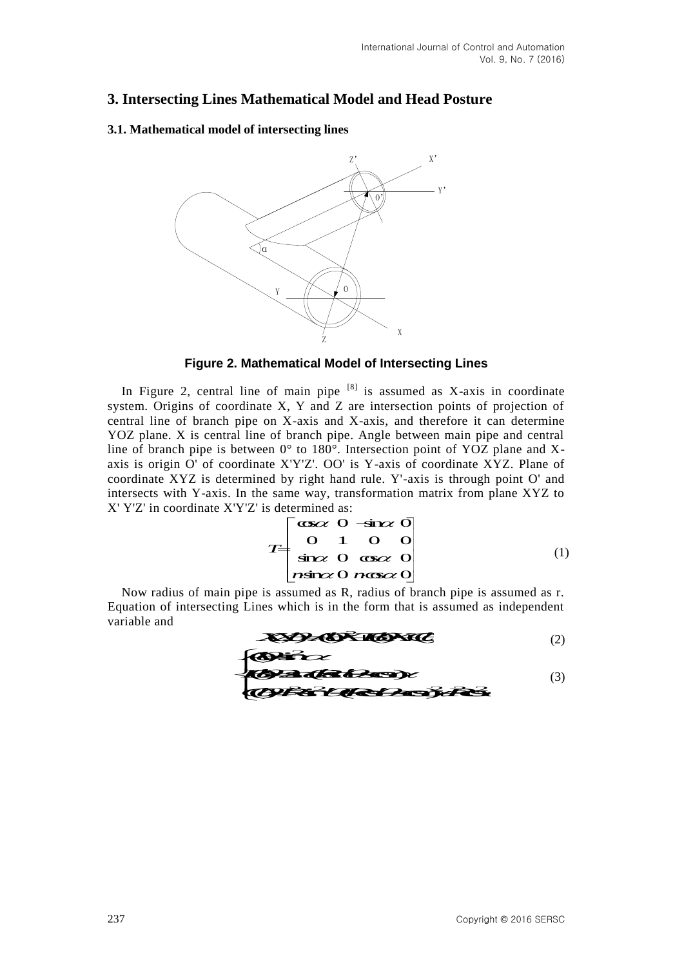# **3. Intersecting Lines Mathematical Model and Head Posture**

### **3.1. Mathematical model of intersecting lines**



## **Figure 2. Mathematical Model of Intersecting Lines**

In Figure 2, central line of main pipe  $[8]$  is assumed as X-axis in coordinate system. Origins of coordinate X, Y and Z are intersection points of projection of central line of branch pipe on X-axis and X-axis, and therefore it can determine YOZ plane. X is central line of branch pipe. Angle between main pipe and central line of branch pipe is between 0° to 180°. Intersection point of YOZ plane and Xaxis is origin O' of coordinate X'Y'Z'. OO' is Y-axis of coordinate XYZ. Plane of coordinate XYZ is determined by right hand rule. Y'-axis is through point O' and intersects with Y-axis. In the same way, transformation matrix from plane XYZ to X' Y'Z' in coordinate X'Y'Z' is determined as: cal Model and Head Posture<br>
glines<br>  $\begin{array}{c}\n\sqrt{2} \\
\hline\n\end{array}$   $\begin{array}{c}\n\sqrt{2} \\
\hline\n\end{array}$   $\begin{array}{c}\n\sqrt{2} \\
\hline\n\end{array}$   $\begin{array}{c}\n\sqrt{2} \\
\hline\n\end{array}$  is a sampled as  $X$ -axis in coordinate<br>
pipe <sup>18</sup> is assumed as  $X$ -axis in coord Fines<br>
Fines<br>
Fig. 2.<br>
Fig. 2.<br>  $\frac{1}{2}$ <br>  $\frac{1}{2}$ <br>  $\frac{1}{2}$ <br>  $\frac{1}{2}$ <br>  $\frac{1}{2}$ <br>  $\frac{1}{2}$ <br>  $\frac{1}{2}$ <br>  $\frac{1}{2}$ <br>  $\frac{1}{2}$ <br>  $\frac{1}{2}$ <br>  $\frac{1}{2}$ <br>  $\frac{1}{2}$ <br>  $\frac{1}{2}$ <br>  $\frac{1}{2}$ <br>  $\frac{1}{2}$ <br>  $\frac{1}{2}$ <br>  $\frac{1}{2}$ <br>  $\$ 

$$
T = \begin{bmatrix} \n\cos \alpha & 0 & -\sin \alpha & 0 \\ \n0 & 1 & 0 & 0 \\ \n\sin \alpha & 0 & \cos \alpha & 0 \\ \n\cos \alpha & 0 & \cos \alpha & 0 \n\end{bmatrix} \tag{1}
$$

Now radius of main pipe is assumed as R, radius of branch pipe is assumed as r. Equation of intersecting Lines which is in the form that is assumed as independent variable and

$$
\mathbf{X} \mathbf{D} \mathbf{A} \mathbf{D} \mathbf{X} \mathbf{A} \mathbf{D} \mathbf{X} \mathbf{A} \mathbf{C} \tag{2}
$$

 <sup>2</sup> ()sin *A* (3)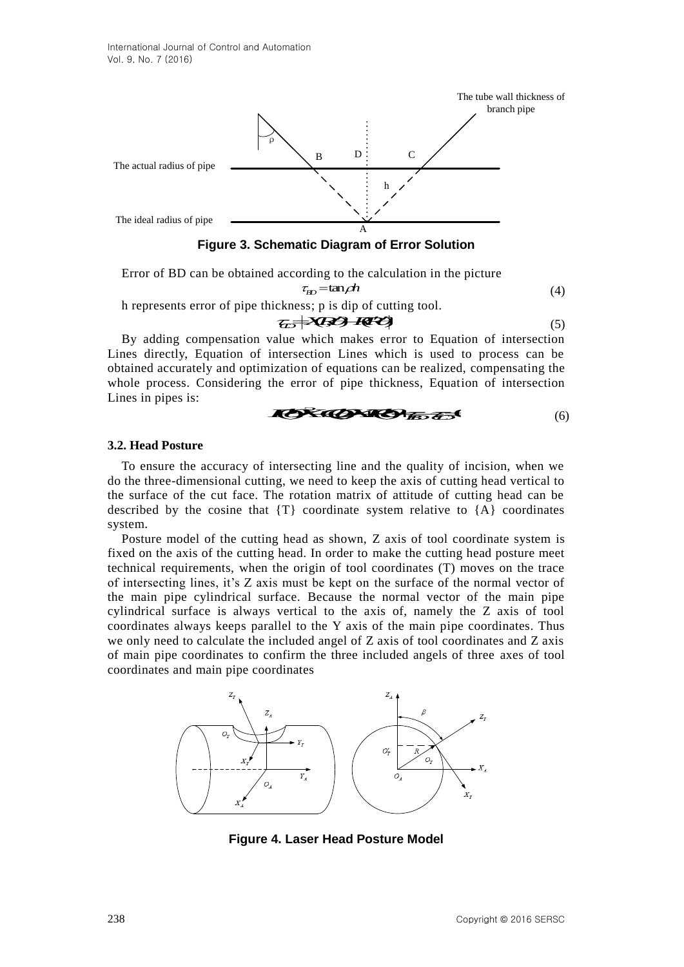

Error of BD can be obtained according to the calculation in the picture

$$
\tau_{\text{BD}} = \tan \rho h \tag{4}
$$

h represents error of pipe thickness; p is dip of cutting tool.

$$
\mathcal{L} \rightarrow \mathbf{X} \rightarrow \mathbf{R} \tag{5}
$$

By adding compensation value which makes error to Equation of intersection Lines directly, Equation of intersection Lines which is used to process can be obtained accurately and optimization of equations can be realized, compensating the whole process. Considering the error of pipe thickness, Equation of intersection Lines in pipes is:

$$
X \rightarrow X \rightarrow Y
$$

#### **3.2. Head Posture**

To ensure the accuracy of intersecting line and the quality of incision, when we do the three-dimensional cutting, we need to keep the axis of cutting head vertical to the surface of the cut face. The rotation matrix of attitude of cutting head can be described by the cosine that  $\{T\}$  coordinate system relative to  $\{A\}$  coordinates system.

Posture model of the cutting head as shown, Z axis of tool coordinate system is fixed on the axis of the cutting head. In order to make the cutting head posture meet technical requirements, when the origin of tool coordinates (T) moves on the trace of intersecting lines, it's Z axis must be kept on the surface of the normal vector of the main pipe cylindrical surface. Because the normal vector of the main pipe cylindrical surface is always vertical to the axis of, namely the Z axis of tool coordinates always keeps parallel to the Y axis of the main pipe coordinates. Thus we only need to calculate the included angel of Z axis of tool coordinates and Z axis of main pipe coordinates to confirm the three included angels of three axes of tool coordinates and main pipe coordinates



**Figure 4. Laser Head Posture Model**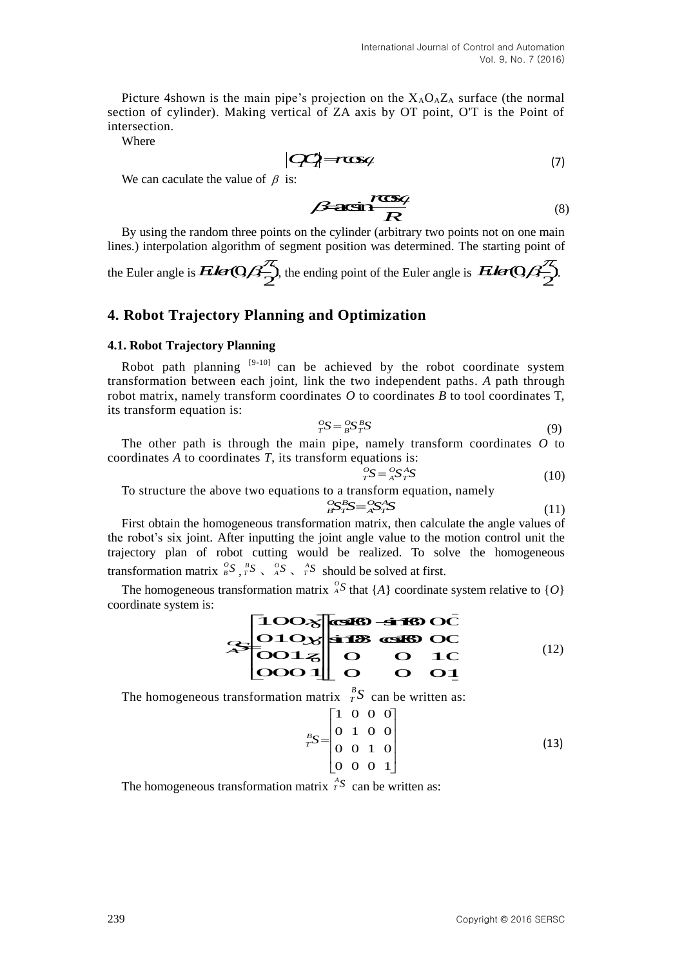Picture 4shown is the main pipe's projection on the  $X_A O_A Z_A$  surface (the normal section of cylinder). Making vertical of ZA axis by OT point, O'T is the Point of intersection. *OO r T T* International Journal of Control and Automational<br>
Vol. 9, No. 7 (201<br>
the main pipe's projection on the  $X_A O_A Z_A$  surface (the norm<br>
daking vertical of ZA axis by OT point, OT is the Point<br>  $\begin{vmatrix}\n\mathbf{C}\mathbf{C}\n\end{vmatrix} = \mathbf{$ d Automation<br>
No. 7 (2016)<br>
the normal<br>
e Point of<br>
(7)<br>
(8)<br>
n one main<br>
ng point of<br>  $\mathbb{Q} \mathbb{Z}_2^{\mathbb{Z}}$ <br>
(8)<br>
the space of the space of the space of the space of the space of the space of the space of the space of t

Where

$$
[Q\!Q] \rightarrow \! \infty
$$
 (7)

We can caculate the value of  $\beta$  is:

We can caculate the value of  $\beta$  is:<br> **Consider the value of**  $\beta$  **is:**<br> **Consider the value of**  $\beta$  **is:**  $R$  (8)  $\mathbf{g}_i$  and  $\mathbf{g}_i$  are the set of  $\mathbf{g}_i$  and  $\mathbf{g}_i$  are the set of  $\mathbf{g}_i$ 

By using the random three points on the cylinder (arbitrary two points not on one main lines.) interpolation algorithm of segment position was determined. The starting point of

the Euler angle is  $\mathbf{E}$ ler $\mathbf{Q}\beta\frac{\pi}{2}$ , the ending point of the Euler angle is  $\mathbf{E}$ ler $\mathbf{Q}\beta\frac{\pi}{2}$ .

## **4. Robot Trajectory Planning and Optimization**

#### **4.1. Robot Trajectory Planning**

Robot path planning  $[9-10]$  can be achieved by the robot coordinate system transformation between each joint, link the two independent paths. *A* path through robot matrix, namely transform coordinates *O* to coordinates *B* to tool coordinates T, its transform equation is: uler angle is *Eler*(C)/ $\frac{f_2}{2}$ , the ending point of the Euler angle is *Eler*(C)<br> **Obot Trajectory Planning and Optimization**<br>
Robot Trajectory Planning<br>
Not path planning  $\frac{[9-10]}{2}$  can be achieved by the ro **F**<br> **The contract of the COV**<br> **The contract of the Euler angle is** *Elev* **Of**  $\frac{Z}{2}$ **.<br>
<b>In a Optimization**<br> **In a Optimization**<br> **A**<br> **In a Optimization**<br> **A**<br> **In a** Optimization<br> **A**<br> **In a** Consequent paths. A path **puninzation**<br>
eved by the robot coordinate system<br>
two independent paths. A path through<br>
2 to coordinates B to tool coordinates T,<br>  $S_T^B S$  (9)<br>
e, namely transform coordinates O to<br>
equations is:<br>  ${}_{T}^{O}S = {}_{A}^{O}S_{T}$ *T A T S S S* (10) **d Optimization**<br>
achieved by the robot coordinate syste<br>
the two independent paths. A path throught<br>
tes O to coordinates B to tool coordinates<br>  $S = {}^{\text{O}}_B S^B_T S$ <br>
(i)<br>
pipe, namely transform coordinates O<br>
orm equation

$$
{}_{T}^{O}S = {}_{B}^{O}S {}_{T}^{B}S
$$
 (9)

The other path is through the main pipe, namely transform coordinates *O* to coordinates *A* to coordinates *T*, its transform equations is:

$$
{}^{O}_{T}S = {}^{O}_{A}S {}^{A}_{T}S
$$
 (10)

To structure the above two equations to a transform equation, namely

$$
S_T^B S = {}_{A}^{O} S_T^A S \tag{11}
$$

**EXAMPLE 18 SET A TAINT (8)**<br>
cylinder (arbitrary two points not on one main<br>
position was determined. The starting point of<br>
org point of the Euler angle is  $E \text{Ker} \text{Q/A}^2$ .<br> **COMPOSE 18 SET A CONFIDENT A**<br>
a **Optimi** First obtain the homogeneous transformation matrix, then calculate the angle values of the robot's six joint. After inputting the joint angle value to the motion control unit the trajectory plan of robot cutting would be realized. To solve the homogeneous transformation matrix  ${}_{B}^{O}S$ ,  ${}_{T}^{B}S$ ,  ${}_{A}^{O}S$ ,  ${}_{T}^{A}S$  should be solved at first. The other path is through the main pipe, namely transform coordinates<br>
ordinates A to coordinates T, its transform equations is:<br>  ${}^{67}_{75}S = {}^{75}_{75}S$ <br>
The structure the above two equations to a transform equation, namel

The homogeneous transformation matrix  ${}^{o}_{A}S$  that {*A*} coordinate system relative to {*O*} coordinate system is:

| International Journal of Control and Automation                                                                                      |      |
|--------------------------------------------------------------------------------------------------------------------------------------|------|
| Picture 4shown is the main pipe's projection on the X <sub>1</sub> O <sub>0</sub> X <sub>0</sub> , surface (the normal<br>ersection. |      |
| Picture 4shown is the main pipe's projection on the X <sub>1</sub> O <sub>0</sub> X <sub>0</sub> , surface (the normal<br>ersection. |      |
| Prece                                                                                                                                | PROB |
| We can calculate the value of $\beta$ is:                                                                                            |      |
| Example 1                                                                                                                            |      |
| We can calculate the value of $\beta$ is:                                                                                            |      |
| We can calculate the value of $\beta$ is:                                                                                            |      |
| We can calculate the value of $\beta$ is:                                                                                            |      |
| We can calculate the value of $\beta$ is:                                                                                            |      |
| We's $\beta$ is                                                                                                                      |      |
| We's $\beta$ is                                                                                                                      |      |
| We's $\beta$ is                                                                                                                      |      |
| We's $\beta$ is                                                                                                                      |      |
| We's $\beta$ is                                                                                                                      |      |
| We's $\beta$ is                                                                                                                      |      |
| We's $\beta$ is                                                                                                                      |      |
| We's $\beta$ is                                                                                                                      |      |
| We's $\beta$ is                                                                                                                      |      |
| We's $\beta$ is                                                                                                                      |      |
| We's $\beta$ is                                                                                                                      |      |
| We's $\beta$ is                                                                                                                      |      |
| We's $\gamma$ is                                                                                                                     |      |
| We's $\gamma$ is                                                                                                                     |      |
| Wf's $\gamma$ is                                                                                                                     |      |
| Wf's $\gamma$ is                                                                                                                     |      |
| Wg's $\gamma$ is                                                                                                                     |      |
| Wg's $\gamma$ is                                                                                                                     |      |
| Wg's $\gamma$ is </td                                                                                                                |      |

The homogeneous transformation matrix  $\frac{B}{T}S$  can be written as:

$$
r = \frac{1}{B} = \frac{1}{I}
$$
\n
$$
r = \frac{1}{B} = \frac{1}{I}
$$
\n
$$
r = \frac{1}{A}S + \frac{1}{I}
$$
\n
$$
r = \frac{1}{A}S + \frac{1}{I}
$$
\n
$$
r = \frac{1}{A}S + \frac{1}{I}
$$
\n
$$
r = \frac{1}{B}S + \frac{1}{B}S
$$
\n
$$
r = \frac{1}{B}S + \frac{1}{B}S
$$
\n
$$
r = \frac{1}{B}S + \frac{1}{B}S
$$
\n
$$
r = \frac{1}{B}S + \frac{1}{B}S
$$
\n
$$
r = \frac{1}{A}S + \frac{1}{A}S
$$
\n
$$
r = \frac{1}{A}S + \frac{1}{A}S
$$
\n
$$
r = \frac{1}{A}S + \frac{1}{A}S
$$
\n
$$
r = \frac{1}{A}S + \frac{1}{A}S
$$
\n
$$
r = \frac{1}{A}S + \frac{1}{A}S
$$
\n
$$
r = \frac{1}{A}S + \frac{1}{A}S
$$
\n
$$
r = \frac{1}{A}S + \frac{1}{A}S
$$
\n
$$
r = \frac{1}{A}S + \frac{1}{A}S
$$
\n
$$
r = \frac{1}{A}S + \frac{1}{A}S
$$
\n
$$
r = \frac{1}{A}S + \frac{1}{A}S
$$
\n
$$
r = \frac{1}{A}S + \frac{1}{A}S
$$
\n
$$
r = \frac{1}{A}S + \frac{1}{A}S
$$
\n
$$
r = \frac{1}{A}S + \frac{1}{A}S
$$
\n
$$
r = \frac{1}{A}S + \frac{1}{A}S
$$
\n
$$
r = \frac{1}{A}S + \frac{1}{A}S
$$
\n
$$
r = \frac{1}{A}S + \frac{1}{A}S
$$
\n
$$
r = \frac{1}{A}S + \frac{1}{A}S
$$
\n
$$
r = \frac{1}{A}S + \frac{1}{A
$$

The homogeneous transformation matrix  $\hat{r}^S$  can be written as: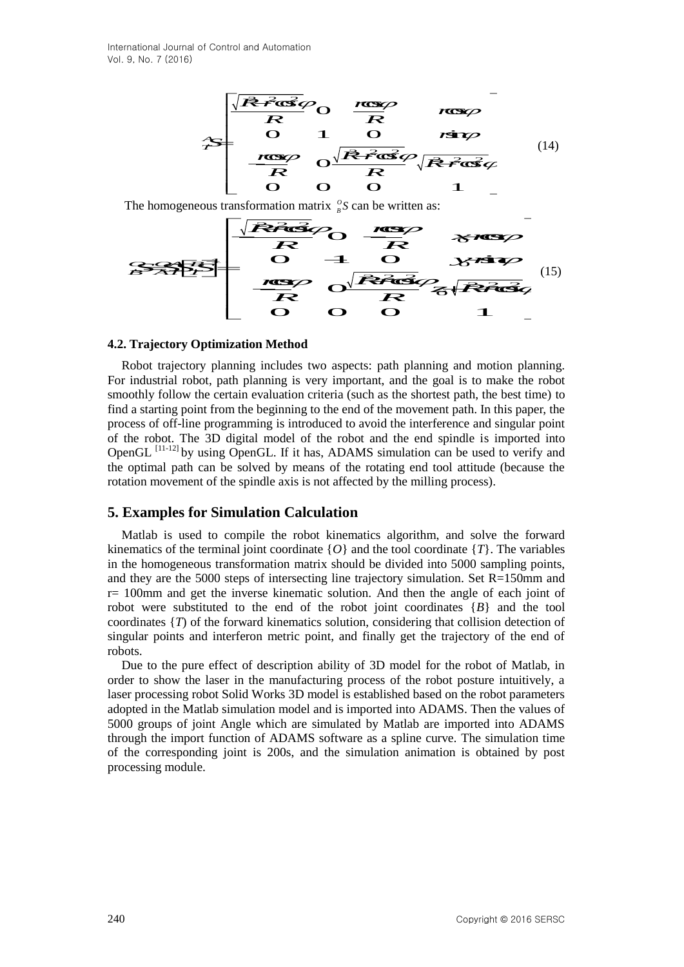of Control and Automation  
\n
$$
\begin{array}{r}\n\sqrt{\mathbf{R}^2 \cdot \mathbf{G}^2 \cdot \mathbf{G}^2}}\n\hline\n\mathbf{R} & \mathbf{R} & \mathbf{S} \\
\hline\n\mathbf{R} & \mathbf{O} & \mathbf{S} \\
\hline\n\mathbf{R} & \mathbf{O} & \mathbf{O} \\
\hline\n\mathbf{R} & \mathbf{O} & \mathbf{O} \\
\hline\n\mathbf{R} & \mathbf{O} & \mathbf{O} \\
\hline\n\mathbf{R} & \mathbf{O} & \mathbf{O} \\
\hline\n\mathbf{R} & \mathbf{O} & \mathbf{O} \\
\hline\n\mathbf{R} & \mathbf{O} & \mathbf{O} \\
\hline\n\mathbf{R} & \mathbf{O} & \mathbf{O} \\
\hline\n\mathbf{R} & \mathbf{O} & \mathbf{O} \\
\hline\n\mathbf{R} & \mathbf{O} & \mathbf{O} \\
\hline\n\mathbf{R} & \mathbf{O} & \mathbf{O} \\
\hline\n\mathbf{R} & \mathbf{O} & \mathbf{O} \\
\hline\n\mathbf{R} & \mathbf{O} & \mathbf{O} \\
\hline\n\mathbf{R} & \mathbf{O} & \mathbf{O} \\
\hline\n\mathbf{R} & \mathbf{O} & \mathbf{O} \\
\hline\n\mathbf{R} & \mathbf{O} & \mathbf{O} \\
\hline\n\mathbf{R} & \mathbf{O} & \mathbf{O} \\
\hline\n\mathbf{R} & \mathbf{O} & \mathbf{O} \\
\hline\n\mathbf{R} & \mathbf{O} & \mathbf{O} \\
\hline\n\mathbf{R} & \mathbf{O} & \mathbf{O} \\
\hline\n\mathbf{R} & \mathbf{O} & \mathbf{O} \\
\hline\n\mathbf{R} & \mathbf{O} & \mathbf{O} \\
\hline\n\mathbf{R} & \mathbf{O} & \mathbf{O} \\
\hline\n\mathbf{R} & \mathbf{O} & \mathbf{O} \\
\hline\n\mathbf{R} & \mathbf{O} & \mathbf{O} \\
\hline\n\mathbf{R} & \mathbf{O} & \mathbf{O} \\
\hline\n\mathbf{R} & \mathbf{O} & \mathbf{O} \\
\hline\n\mathbf{R} & \
$$

The homogeneous transformation matrix  $\frac{\partial}{\partial s} S$ 

0 1 0 2 2 2 0 cos cos 0 cos 0 1 0 sin *O OA B B AT T yr SSSS r Rr* (15)

#### **4.2. Trajectory Optimization Method**

Momalion<br>
Costage Costantine Costantine Costantine Costantine Costantine Costantine Costantine Costantine Costantine Costantine Costantine Costantine Costantine Costantine Costantine Costantine Costantine Costantine Costa Momation<br>  $\frac{1}{2}$ <br>  $\frac{1}{2}$ <br>  $\frac{1}{2}$ <br>  $\frac{1}{2}$ <br>  $\frac{1}{2}$ <br>  $\frac{1}{2}$ <br>  $\frac{1}{2}$ <br>  $\frac{1}{2}$ <br>  $\frac{1}{2}$ <br>  $\frac{1}{2}$ <br>  $\frac{1}{2}$ <br>  $\frac{1}{2}$ <br>  $\frac{1}{2}$ <br>  $\frac{1}{2}$ <br>  $\frac{1}{2}$ <br>  $\frac{1}{2}$ <br>  $\frac{1}{2}$ <br>  $\frac{1}{2}$ <br>  $\frac{1}{2}$ <br>  $\$ *z Rr* FOR THE SEARCH CONTRACT CONTRACT CONTRACT CONTRACT CONTRACT CONTRACT CONTRACT CONTRACT CONTRACT CONTRACT CONTRACT CONTRACT CONTRACT CONTRACT CONTRACT CONTRACT CONTRACT CONTRACT CONTRACT CONTRACT CONTRACT CONTRACT CONTRAC Irel and Automation<br>  $R = \frac{\sqrt{R^2 + 4\pi^2}}{R}$  of  $\frac{R^2}{R}$  of  $\frac{R^2}{R}$  of  $\frac{R^2}{R}$  of  $\frac{R^2}{R}$  of  $\frac{R^2}{R}$  of  $\frac{R^2}{R}$  of  $\frac{R^2}{R}$  of  $\frac{R^2}{R}$  of  $\frac{R^2}{R}$  of  $\frac{R^2}{R}$  of  $\frac{R^2}{R}$  of  $\frac{R^2}{$ Robot trajectory planning includes two aspects: path planning and motion planning. For industrial robot, path planning is very important, and the goal is to make the robot smoothly follow the certain evaluation criteria (such as the shortest path, the best time) to find a starting point from the beginning to the end of the movement path. In this paper, the process of off-line programming is introduced to avoid the interference and singular point of the robot. The 3D digital model of the robot and the end spindle is imported into OpenGL<sup>[11-12]</sup> by using OpenGL. If it has, ADAMS simulation can be used to verify and the optimal path can be solved by means of the rotating end tool attitude (because the rotation movement of the spindle axis is not affected by the milling process).

### **5. Examples for Simulation Calculation**

Matlab is used to compile the robot kinematics algorithm, and solve the forward kinematics of the terminal joint coordinate  ${O}$  and the tool coordinate  ${T}$ . The variables in the homogeneous transformation matrix should be divided into 5000 sampling points, and they are the 5000 steps of intersecting line trajectory simulation. Set R=150mm and r= 100mm and get the inverse kinematic solution. And then the angle of each joint of robot were substituted to the end of the robot joint coordinates {*B*} and the tool coordinates {*T*) of the forward kinematics solution, considering that collision detection of singular points and interferon metric point, and finally get the trajectory of the end of robots.

Due to the pure effect of description ability of 3D model for the robot of Matlab, in order to show the laser in the manufacturing process of the robot posture intuitively, a laser processing robot Solid Works 3D model is established based on the robot parameters adopted in the Matlab simulation model and is imported into ADAMS. Then the values of 5000 groups of joint Angle which are simulated by Matlab are imported into ADAMS through the import function of ADAMS software as a spline curve. The simulation time of the corresponding joint is 200s, and the simulation animation is obtained by post processing module.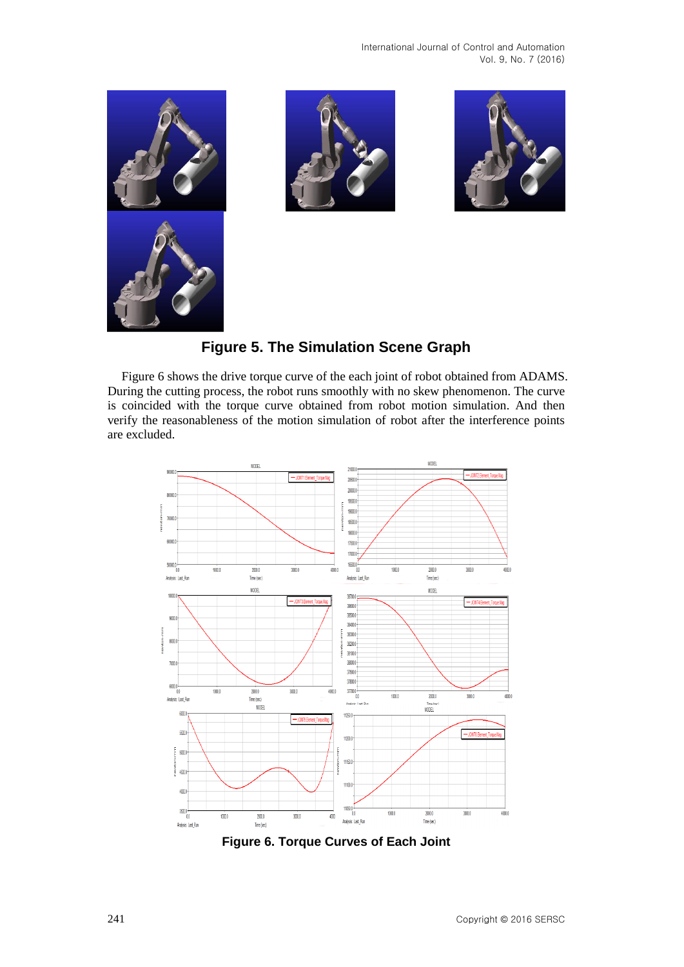







Figure 6 shows the drive torque curve of the each joint of robot obtained from ADAMS. During the cutting process, the robot runs smoothly with no skew phenomenon. The curve is coincided with the torque curve obtained from robot motion simulation. And then verify the reasonableness of the motion simulation of robot after the interference points are excluded.



**Figure 6. Torque Curves of Each Joint**